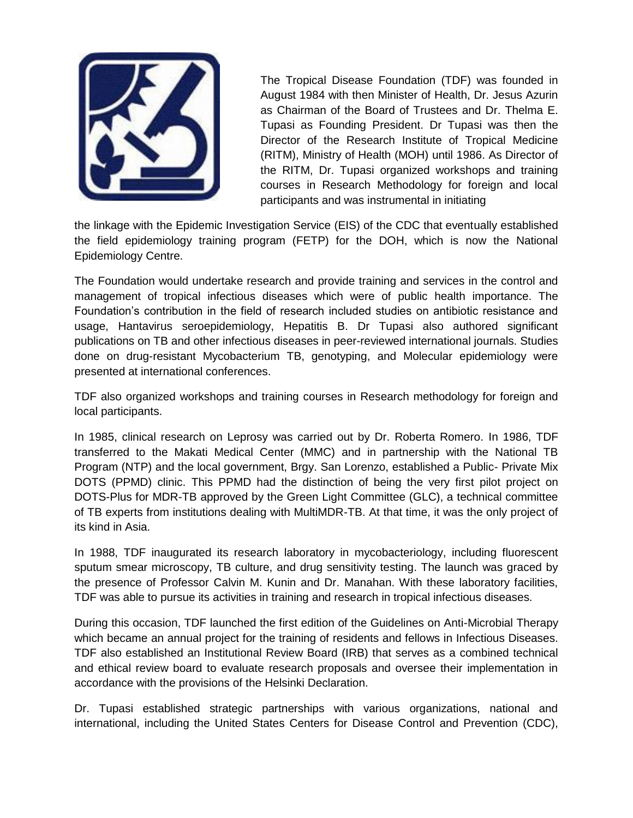

The Tropical Disease Foundation (TDF) was founded in August 1984 with then Minister of Health, Dr. Jesus Azurin as Chairman of the Board of Trustees and Dr. Thelma E. Tupasi as Founding President. Dr Tupasi was then the Director of the Research Institute of Tropical Medicine (RITM), Ministry of Health (MOH) until 1986. As Director of the RITM, Dr. Tupasi organized workshops and training courses in Research Methodology for foreign and local participants and was instrumental in initiating

the linkage with the Epidemic Investigation Service (EIS) of the CDC that eventually established the field epidemiology training program (FETP) for the DOH, which is now the National Epidemiology Centre.

The Foundation would undertake research and provide training and services in the control and management of tropical infectious diseases which were of public health importance. The Foundation's contribution in the field of research included studies on antibiotic resistance and usage, Hantavirus seroepidemiology, Hepatitis B. Dr Tupasi also authored significant publications on TB and other infectious diseases in peer-reviewed international journals. Studies done on drug-resistant Mycobacterium TB, genotyping, and Molecular epidemiology were presented at international conferences.

TDF also organized workshops and training courses in Research methodology for foreign and local participants.

In 1985, clinical research on Leprosy was carried out by Dr. Roberta Romero. In 1986, TDF transferred to the Makati Medical Center (MMC) and in partnership with the National TB Program (NTP) and the local government, Brgy. San Lorenzo, established a Public- Private Mix DOTS (PPMD) clinic. This PPMD had the distinction of being the very first pilot project on DOTS-Plus for MDR-TB approved by the Green Light Committee (GLC), a technical committee of TB experts from institutions dealing with MultiMDR-TB. At that time, it was the only project of its kind in Asia.

In 1988, TDF inaugurated its research laboratory in mycobacteriology, including fluorescent sputum smear microscopy, TB culture, and drug sensitivity testing. The launch was graced by the presence of Professor Calvin M. Kunin and Dr. Manahan. With these laboratory facilities, TDF was able to pursue its activities in training and research in tropical infectious diseases.

During this occasion, TDF launched the first edition of the Guidelines on Anti-Microbial Therapy which became an annual project for the training of residents and fellows in Infectious Diseases. TDF also established an Institutional Review Board (IRB) that serves as a combined technical and ethical review board to evaluate research proposals and oversee their implementation in accordance with the provisions of the Helsinki Declaration.

Dr. Tupasi established strategic partnerships with various organizations, national and international, including the United States Centers for Disease Control and Prevention (CDC),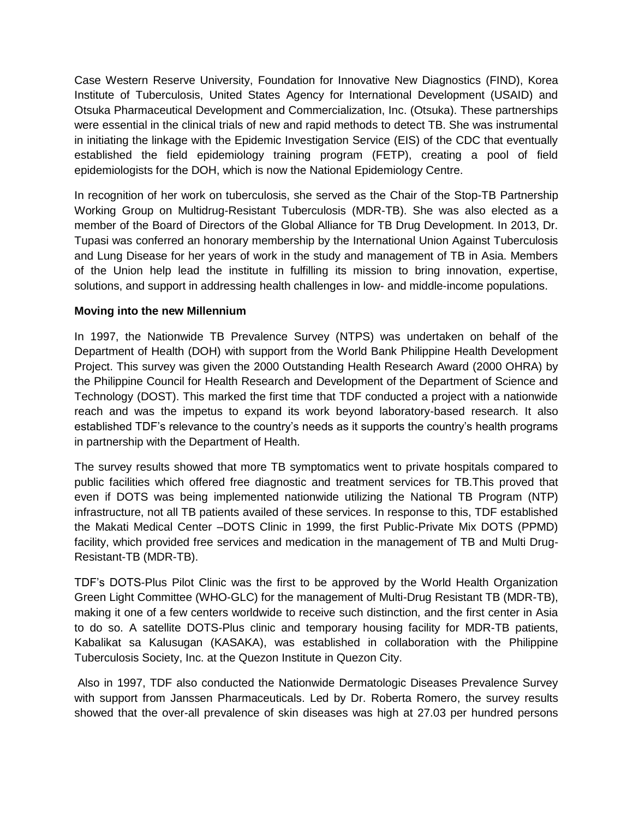Case Western Reserve University, Foundation for Innovative New Diagnostics (FIND), Korea Institute of Tuberculosis, United States Agency for International Development (USAID) and Otsuka Pharmaceutical Development and Commercialization, Inc. (Otsuka). These partnerships were essential in the clinical trials of new and rapid methods to detect TB. She was instrumental in initiating the linkage with the Epidemic Investigation Service (EIS) of the CDC that eventually established the field epidemiology training program (FETP), creating a pool of field epidemiologists for the DOH, which is now the National Epidemiology Centre.

In recognition of her work on tuberculosis, she served as the Chair of the Stop-TB Partnership Working Group on Multidrug-Resistant Tuberculosis (MDR-TB). She was also elected as a member of the Board of Directors of the Global Alliance for TB Drug Development. In 2013, Dr. Tupasi was conferred an honorary membership by the International Union Against Tuberculosis and Lung Disease for her years of work in the study and management of TB in Asia. Members of the Union help lead the institute in fulfilling its mission to bring innovation, expertise, solutions, and support in addressing health challenges in low- and middle-income populations.

## **Moving into the new Millennium**

In 1997, the Nationwide TB Prevalence Survey (NTPS) was undertaken on behalf of the Department of Health (DOH) with support from the World Bank Philippine Health Development Project. This survey was given the 2000 Outstanding Health Research Award (2000 OHRA) by the Philippine Council for Health Research and Development of the Department of Science and Technology (DOST). This marked the first time that TDF conducted a project with a nationwide reach and was the impetus to expand its work beyond laboratory-based research. It also established TDF's relevance to the country's needs as it supports the country's health programs in partnership with the Department of Health.

The survey results showed that more TB symptomatics went to private hospitals compared to public facilities which offered free diagnostic and treatment services for TB.This proved that even if DOTS was being implemented nationwide utilizing the National TB Program (NTP) infrastructure, not all TB patients availed of these services. In response to this, TDF established the Makati Medical Center –DOTS Clinic in 1999, the first Public-Private Mix DOTS (PPMD) facility, which provided free services and medication in the management of TB and Multi Drug-Resistant-TB (MDR-TB).

TDF's DOTS-Plus Pilot Clinic was the first to be approved by the World Health Organization Green Light Committee (WHO-GLC) for the management of Multi-Drug Resistant TB (MDR-TB), making it one of a few centers worldwide to receive such distinction, and the first center in Asia to do so. A satellite DOTS-Plus clinic and temporary housing facility for MDR-TB patients, Kabalikat sa Kalusugan (KASAKA), was established in collaboration with the Philippine Tuberculosis Society, Inc. at the Quezon Institute in Quezon City.

Also in 1997, TDF also conducted the Nationwide Dermatologic Diseases Prevalence Survey with support from Janssen Pharmaceuticals. Led by Dr. Roberta Romero, the survey results showed that the over-all prevalence of skin diseases was high at 27.03 per hundred persons